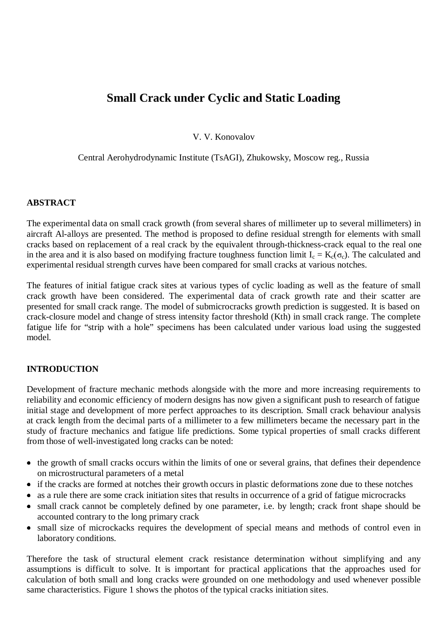# **Small Crack under Cyclic and Static Loading**

V. V. Konovalov

Central Aerohydrodynamic Institute (TsAGI), Zhukowsky, Moscow reg., Russia

#### **ABSTRACT**

The experimental data on small crack growth (from several shares of millimeter up to several millimeters) in aircraft Al-alloys are presented. The method is proposed to define residual strength for elements with small cracks based on replacement of a real crack by the equivalent through-thickness-crack equal to the real one in the area and it is also based on modifying fracture toughness function limit  $I_c = K_c(\sigma_c)$ . The calculated and experimental residual strength curves have been compared for small cracks at various notches.

The features of initial fatigue crack sites at various types of cyclic loading as well as the feature of small crack growth have been considered. The experimental data of crack growth rate and their scatter are presented for small crack range. The model of submicrocracks growth prediction is suggested. It is based on crack-closure model and change of stress intensity factor threshold (Kth) in small crack range. The complete fatigue life for "strip with a hole" specimens has been calculated under various load using the suggested model.

#### **INTRODUCTION**

Development of fracture mechanic methods alongside with the more and more increasing requirements to reliability and economic efficiency of modern designs has now given a significant push to research of fatigue initial stage and development of more perfect approaches to its description. Small crack behaviour analysis at crack length from the decimal parts of a millimeter to a few millimeters became the necessary part in the study of fracture mechanics and fatigue life predictions. Some typical properties of small cracks different from those of well-investigated long cracks can be noted:

- the growth of small cracks occurs within the limits of one or several grains, that defines their dependence on microstructural parameters of a metal
- if the cracks are formed at notches their growth occurs in plastic deformations zone due to these notches
- $\bullet$ as a rule there are some crack initiation sites that results in occurrence of a grid of fatigue microcracks
- small crack cannot be completely defined by one parameter, i.e. by length; crack front shape should be accounted contrary to the long primary crack
- small size of microckacks requires the development of special means and methods of control even in laboratory conditions.

Therefore the task of structural element crack resistance determination without simplifying and any assumptions is difficult to solve. It is important for practical applications that the approaches used for calculation of both small and long cracks were grounded on one methodology and used whenever possible same characteristics. Figure 1 shows the photos of the typical cracks initiation sites.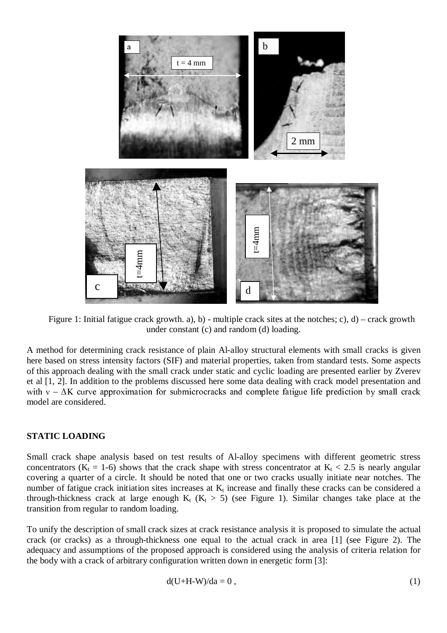

Figure 1: Initial fatigue crack growth. a), b) - multiple crack sites at the notches; c), d) – crack growth under constant (c) and random (d) loading.

A method for determining crack resistance of plain Al-alloy structural elements with small cracks is given here based on stress intensity factors (SIF) and material properties, taken from standard tests. Some aspects of this approach dealing with the small crack under static and cyclic loading are presented earlier by Zverev et al [1, 2]. In addition to the problems discussed here some data dealing with crack model presentation and with  $v - \Delta K$  curve approximation for submicrocracks and complete fatigue life prediction by small crack model are considered.

#### **STATIC LOADING**

Small crack shape analysis based on test results of Al-alloy specimens with different geometric stress concentrators ( $K_t = 1-6$ ) shows that the crack shape with stress concentrator at  $K_t < 2.5$  is nearly angular covering a quarter of a circle. It should be noted that one or two cracks usually initiate near notches. The number of fatigue crack initiation sites increases at  $K_t$  increase and finally these cracks can be considered a through-thickness crack at large enough  $K_t$  ( $K_t > 5$ ) (see Figure 1). Similar changes take place at the transition from regular to random loading.

To unify the description of small crack sizes at crack resistance analysis it is proposed to simulate the actual crack (or cracks) as a through-thickness one equal to the actual crack in area [1] (see Figure 2). The adequacy and assumptions of the proposed approach is considered using the analysis of criteria relation for the body with a crack of arbitrary configuration written down in energetic form [3]:

$$
d(U+H-W)/da = 0, \qquad (1)
$$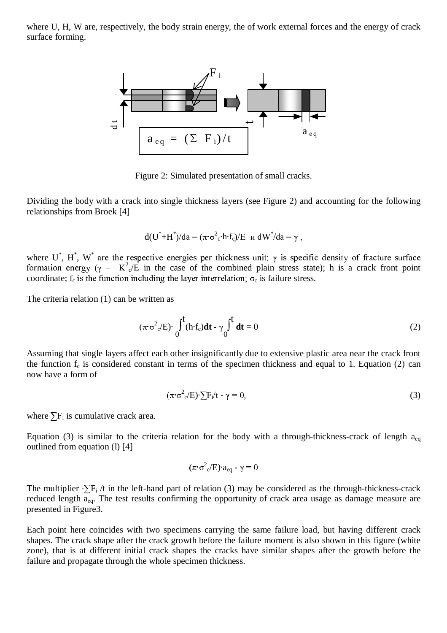where U, H, W are, respectively, the body strain energy, the of work external forces and the energy of crack surface forming.



Figure 2: Simulated presentation of small cracks.

Dividing the body with a crack into single thickness layers (see Figure 2) and accounting for the following relationships from Broek [4]

$$
d(U^* + H^*)/da = (\pi \cdot \sigma^2{}_c \cdot h \cdot f_c)/E \text{ } \text{ } \text{ } u \text{ } dW^* / da = \gamma \text{ } ,
$$

where U<sup>\*</sup>, H<sup>\*</sup>, W<sup>\*</sup> are the respective energies per thickness unit;  $\gamma$  is specific density of fracture surface formation energy ( $\gamma = K^2 e/E$  in the case of the combined plain stress state); h is a crack front point coordinate;  $f_c$  is the function including the layer interrelation,  $\sigma_c$  is failure stress.

The criteria relation (1) can be written as

$$
(\pi \sigma^2 e/E) \int_0^t (h \cdot f_c) dt - \gamma \int_0^t dt = 0
$$
 (2)

Assuming that single layers affect each other insignificantly due to extensive plastic area near the crack front the function  $f_c$  is considered constant in terms of the specimen thickness and equal to 1. Equation (2) can now have a form of

$$
(\pi \sigma^2 e^2 E) \cdot \sum F_i / t - \gamma = 0,
$$
\n(3)

where  $\Sigma$ F<sub>i</sub> is cumulative crack area.

Equation (3) is similar to the criteria relation for the body with a through-thickness-crack of length  $a_{eq}$ outlined from equation (l) [4]

$$
(\pi \cdot \sigma^2 \circ /E) \cdot a_{eq} - \gamma = 0
$$

The multiplier  $\sum F_i / t$  in the left-hand part of relation (3) may be considered as the through-thickness-crack reduced length aeq. The test results confirming the opportunity of crack area usage as damage measure are presented in Figure3.

Each point here coincides with two specimens carrying the same failure load, but having different crack shapes. The crack shape after the crack growth before the failure moment is also shown in this figure (white zone), that is at different initial crack shapes the cracks have similar shapes after the growth before the failure and propagate through the whole specimen thickness.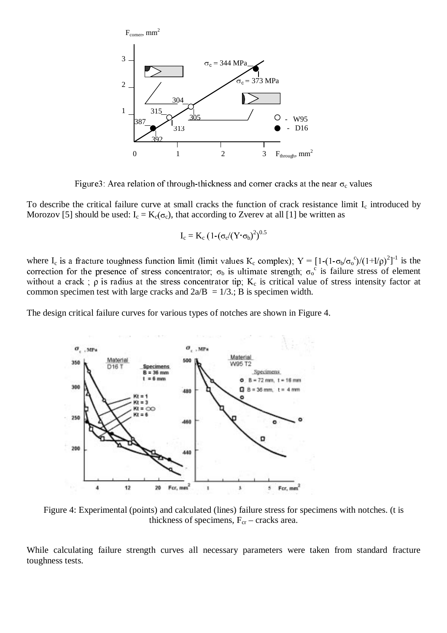

Figure3: Area relation of through-thickness and corner cracks at the near  $\sigma_c$  values

To describe the critical failure curve at small cracks the function of crack resistance limit  $I_c$  introduced by Morozov [5] should be used:  $I_c = K_c(\sigma_c)$ , that according to Zverev at all [1] be written as

$$
I_c = K_c \left(1-(\sigma_c/(Y \cdot \sigma_b)^2)^{0.5}\right)
$$

where I<sub>c</sub> is a fracture toughness function limit (limit values K<sub>c</sub> complex);  $Y = [1-(1-\sigma_b/\sigma_o^c)/(1+1/\rho)^2]^{-1}$  is the correction for the presence of stress concentrator,  $\sigma_b$  is ultimate strength,  $\sigma_o^c$  is failure stress of element without a crack;  $\rho$  is radius at the stress concentrator tip;  $K_c$  is critical value of stress intensity factor at common specimen test with large cracks and  $2a/B = 1/3$ ; B is specimen width.

The design critical failure curves for various types of notches are shown in Figure 4.



Figure 4: Experimental (points) and calculated (lines) failure stress for specimens with notches. (t is thickness of specimens,  $F_{cr}$  – cracks area.

While calculating failure strength curves all necessary parameters were taken from standard fracture toughness tests.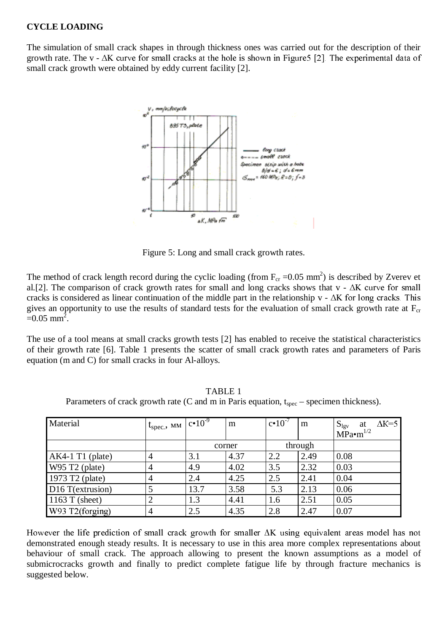#### **CYCLE LOADING**

The simulation of small crack shapes in through thickness ones was carried out for the description of their growth rate. The v -  $\Delta K$  curve for small cracks at the hole is shown in Figure 5 [2]. The experimental data of small crack growth were obtained by eddy current facility [2].



Figure 5: Long and small crack growth rates.

The method of crack length record during the cyclic loading (from  $F_{cr}$  =0.05 mm<sup>2</sup>) is described by Zverev et al.[2]. The comparison of crack growth rates for small and long cracks shows that  $v - \Delta K$  curve for small cracks is considered as linear continuation of the middle part in the relationship  $v - \Delta K$  for long cracks. This gives an opportunity to use the results of standard tests for the evaluation of small crack growth rate at  $F_{cr}$  $=0.05$  mm<sup>2</sup>.

The use of a tool means at small cracks growth tests [2] has enabled to receive the statistical characteristics of their growth rate [6]. Table 1 presents the scatter of small crack growth rates and parameters of Paris equation (m and C) for small cracks in four Al-alloys.

| Material                     | $1_{\text{spec}}$ , MM $ c \cdot 10^{-9} $ |        | m    | $c \cdot 10^{-7}$ | m    | $\Delta K = 5$<br>$S_{\text{lgv}}$ at MPa•m <sup>1/2</sup> |
|------------------------------|--------------------------------------------|--------|------|-------------------|------|------------------------------------------------------------|
|                              |                                            | corner |      | through           |      |                                                            |
| $AK4-1 T1$ (plate)           | 4                                          | 3.1    | 4.37 | 2.2               | 2.49 | 0.08                                                       |
| W95 T2 (plate)               | 4                                          | 4.9    | 4.02 | 3.5               | 2.32 | 0.03                                                       |
| 1973 T2 (plate)              | 4                                          | 2.4    | 4.25 | 2.5               | 2.41 | 0.04                                                       |
| D <sub>16</sub> T(extrusion) |                                            | 13.7   | 3.58 | 5.3               | 2.13 | 0.06                                                       |
| 1163 T (sheet)               | 2                                          | 1.3    | 4.41 | 1.6               | 2.51 | 0.05                                                       |
| W93 T2(forging)              | $\overline{4}$                             | 2.5    | 4.35 | 2.8               | 2.47 | 0.07                                                       |

TABLE 1 Parameters of crack growth rate (C and m in Paris equation,  $t_{\rm spec}$  – specimen thickness).

However the life prediction of small crack growth for smaller  $\Delta K$  using equivalent areas model has not demonstrated enough steady results. It is necessary to use in this area more complex representations about behaviour of small crack. The approach allowing to present the known assumptions as a model of submicrocracks growth and finally to predict complete fatigue life by through fracture mechanics is suggested below.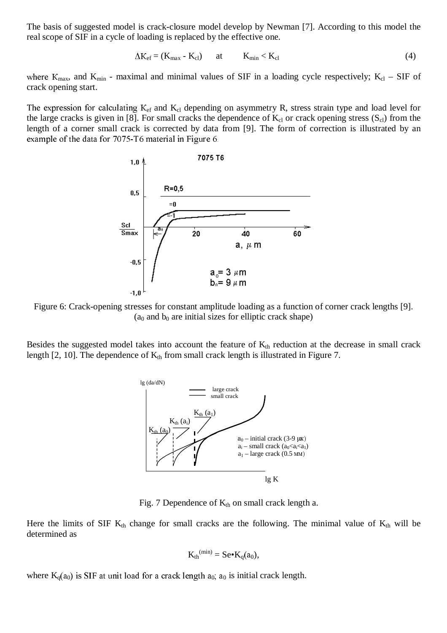The basis of suggested model is crack-closure model develop by Newman [7]. According to this model the real scope of SIF in a cycle of loading is replaced by the effective one.

$$
\Delta K_{\rm ef} = (K_{\rm max} - K_{\rm cl}) \qquad \text{at} \qquad K_{\rm min} < K_{\rm cl} \tag{4}
$$

where  $K_{\text{max}}$ , and  $K_{\text{min}}$  - maximal and minimal values of SIF in a loading cycle respectively;  $K_{\text{cl}}$  – SIF of crack opening start.

The expression for calculating  $K_{cf}$  and  $K_{ci}$  depending on asymmetry R, stress strain type and load level for the large cracks is given in [8]. For small cracks the dependence of  $K_{cl}$  or crack opening stress  $(S_{cl})$  from the length of a corner small crack is corrected by data from [9]. The form of correction is illustrated by an example of the data for  $7075$ -T6 material in Figure 6.



Figure 6: Crack-opening stresses for constant amplitude loading as a function of corner crack lengths [9].  $(a<sub>0</sub>$  and  $b<sub>0</sub>$  are initial sizes for elliptic crack shape)

Besides the suggested model takes into account the feature of  $K<sub>th</sub>$  reduction at the decrease in small crack length [2, 10]. The dependence of  $K_{th}$  from small crack length is illustrated in Figure 7.



Fig. 7 Dependence of  $K_{th}$  on small crack length a.

Here the limits of SIF  $K_{th}$  change for small cracks are the following. The minimal value of  $K_{th}$  will be determined as

$$
K_{th}^{(min)} = Se \bullet K_q(a_0),
$$

where  $K_q(a_0)$  is SIF at unit load for a crack length  $a_0$ ;  $a_0$  is initial crack length.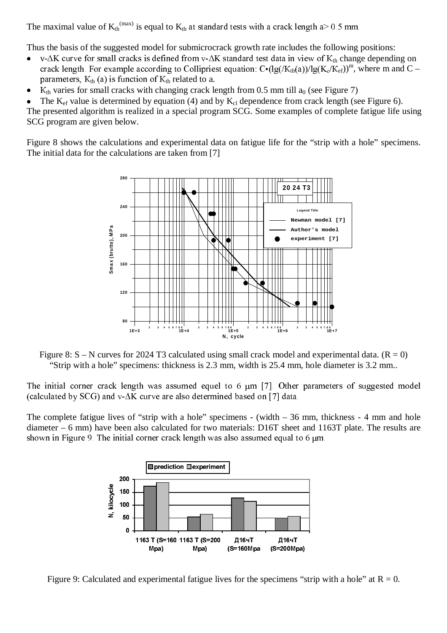The maximal value of  $K_{th}^{(max)}$  is equal to  $K_{th}$  at standard tests with a crack length a> 0.5 mm.

Thus the basis of the suggested model for submicrocrack growth rate includes the following positions:

- $\bullet$ v- $\Delta K$  curve for small cracks is defined from v- $\Delta K$  standard test data in view of  $K_{th}$  change depending on crack length. For example according to Collipriest equation:  $C^{\bullet}(\lg(K_{\text{th}}(a))/\lg(K_c/K_{\text{ef}}))^m$ , where m and C – parameters,  $K_{th}$  (a) is function of  $K_{th}$  related to a.
- $\bullet$  $K<sub>th</sub>$  varies for small cracks with changing crack length from 0.5 mm till  $a<sub>0</sub>$  (see Figure 7)

 $\overline{a}$ The  $K_{\text{ef}}$  value is determined by equation (4) and by  $K_{\text{cl}}$  dependence from crack length (see Figure 6).

The presented algorithm is realized in a special program SCG. Some examples of complete fatigue life using SCG program are given below.

Figure 8 shows the calculations and experimental data on fatigue life for the "strip with a hole" specimens. The initial data for the calculations are taken from [7]



Figure 8:  $S - N$  curves for 2024 T3 calculated using small crack model and experimental data. ( $R = 0$ ) "Strip with a hole" specimens: thickness is 2.3 mm, width is 25.4 mm, hole diameter is 3.2 mm..

The initial corner crack length was assumed equel to 6  $\mu$ m [7]. Other parameters of suggested model (calculated by SCG) and v- $\Delta K$  curve are also determined based on [7] data.

The complete fatigue lives of "strip with a hole" specimens - (width  $-36$  mm, thickness - 4 mm and hole diameter – 6 mm) have been also calculated for two materials: D16T sheet and 1163T plate. The results are shown in Figure 9. The initial corner crack length was also assumed equal to 6  $\mu$ m.



Figure 9: Calculated and experimental fatigue lives for the specimens "strip with a hole" at  $R = 0$ .